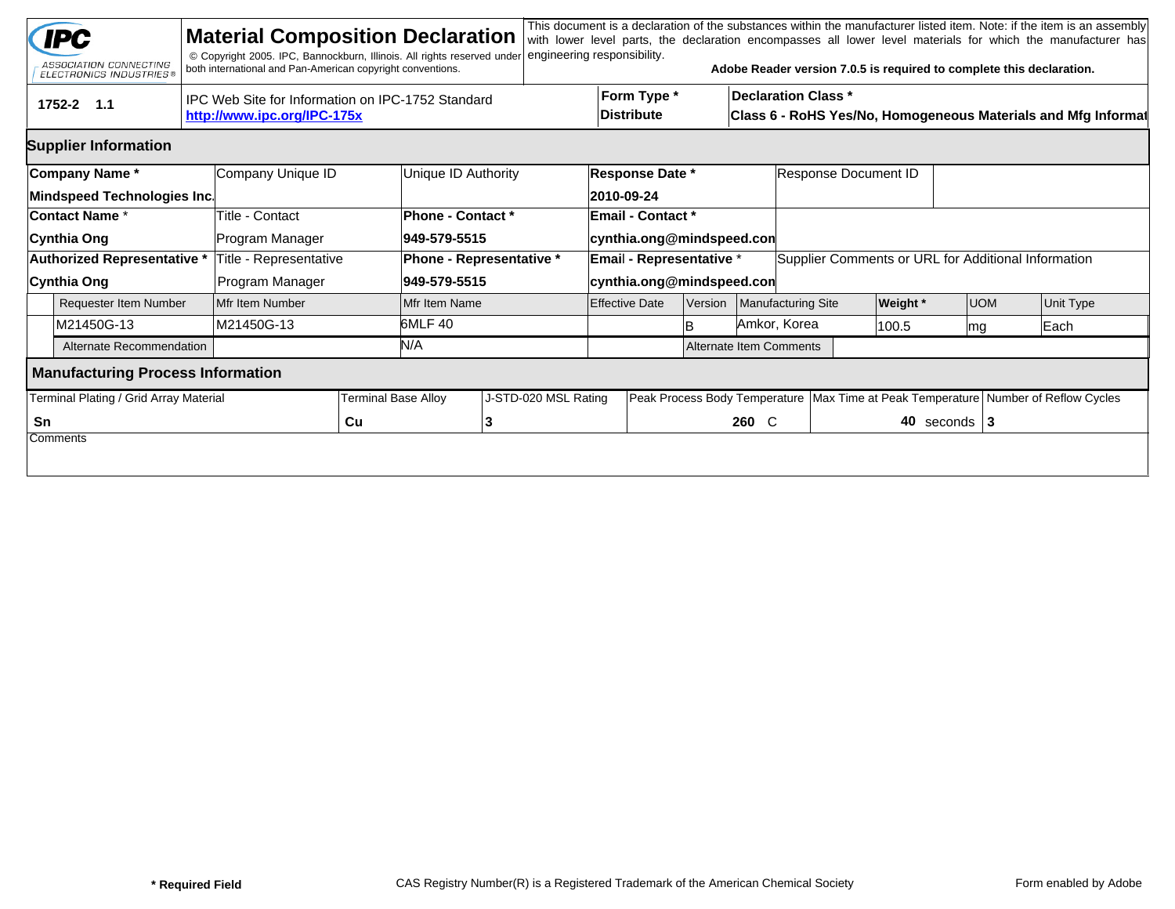|    | <b>IPC</b><br>ASSOCIATION CONNECTING<br><b>ELECTRONICS INDUSTRIES®</b> | <b>Material Composition Declaration</b><br>© Copyright 2005. IPC, Bannockburn, Illinois. All rights reserved under<br>both international and Pan-American copyright conventions. |                            |                                          | engineering responsibility.   |                                                                                        |                                                                                                                                                                                                                                                                                                                                                                                                                                         |  |              |  |                 |                  | This document is a declaration of the substances within the manufacturer listed item. Note: if the item is an assembly |  |  |  |
|----|------------------------------------------------------------------------|----------------------------------------------------------------------------------------------------------------------------------------------------------------------------------|----------------------------|------------------------------------------|-------------------------------|----------------------------------------------------------------------------------------|-----------------------------------------------------------------------------------------------------------------------------------------------------------------------------------------------------------------------------------------------------------------------------------------------------------------------------------------------------------------------------------------------------------------------------------------|--|--------------|--|-----------------|------------------|------------------------------------------------------------------------------------------------------------------------|--|--|--|
|    | tru<br>1752-2 1.1                                                      | IPC Web Site for Information on IPC-1752 Standard<br>http://www.ipc.org/IPC-175x                                                                                                 |                            |                                          |                               |                                                                                        | with lower level parts, the declaration encompasses all lower level materials for which the manufacturer has<br>Adobe Reader version 7.0.5 is required to complete this declaration.<br>Form Type *<br><b>Declaration Class *</b><br><b>Distribute</b><br>Class 6 - RoHS Yes/No, Homogeneous Materials and Mfg Informat<br>Response Document ID<br>Supplier Comments or URL for Additional Information<br>Manufacturing Site<br>Version |  |              |  |                 |                  |                                                                                                                        |  |  |  |
|    | <b>Supplier Information</b>                                            |                                                                                                                                                                                  |                            |                                          |                               |                                                                                        |                                                                                                                                                                                                                                                                                                                                                                                                                                         |  |              |  |                 |                  |                                                                                                                        |  |  |  |
|    | Company Name*<br>Mindspeed Technologies Inc.                           | Company Unique ID                                                                                                                                                                |                            | Unique ID Authority                      | Response Date *<br>2010-09-24 |                                                                                        |                                                                                                                                                                                                                                                                                                                                                                                                                                         |  |              |  |                 |                  |                                                                                                                        |  |  |  |
|    | <b>Contact Name *</b><br>Cynthia Ong                                   | Title - Contact<br>Program Manager                                                                                                                                               |                            | <b>Phone - Contact *</b><br>949-579-5515 |                               | <b>Email - Contact *</b><br>cynthia.ong@mindspeed.con                                  |                                                                                                                                                                                                                                                                                                                                                                                                                                         |  |              |  |                 |                  |                                                                                                                        |  |  |  |
|    | Authorized Representative *<br>Cynthia Ong                             | Title - Representative<br>Program Manager                                                                                                                                        |                            | 949-579-5515                             | Phone - Representative *      | Email - Representative *<br>cynthia.ong@mindspeed.con                                  |                                                                                                                                                                                                                                                                                                                                                                                                                                         |  |              |  |                 |                  |                                                                                                                        |  |  |  |
|    | <b>Requester Item Number</b>                                           | Mfr Item Number                                                                                                                                                                  |                            | Mfr Item Name                            |                               | <b>Effective Date</b>                                                                  |                                                                                                                                                                                                                                                                                                                                                                                                                                         |  |              |  | <b>Weight</b> * | <b>UOM</b>       | Unit Type                                                                                                              |  |  |  |
|    | M21450G-13                                                             | lM21450G-13                                                                                                                                                                      |                            | 6MLF 40                                  |                               |                                                                                        | lB.                                                                                                                                                                                                                                                                                                                                                                                                                                     |  | Amkor, Korea |  | 100.5           | mg               | Each                                                                                                                   |  |  |  |
|    | Alternate Recommendation                                               |                                                                                                                                                                                  |                            | N/A                                      |                               | <b>Alternate Item Comments</b>                                                         |                                                                                                                                                                                                                                                                                                                                                                                                                                         |  |              |  |                 |                  |                                                                                                                        |  |  |  |
|    | <b>Manufacturing Process Information</b>                               |                                                                                                                                                                                  |                            |                                          |                               |                                                                                        |                                                                                                                                                                                                                                                                                                                                                                                                                                         |  |              |  |                 |                  |                                                                                                                        |  |  |  |
|    | Terminal Plating / Grid Array Material                                 |                                                                                                                                                                                  | <b>Terminal Base Alloy</b> |                                          | J-STD-020 MSL Rating          | Peak Process Body Temperature   Max Time at Peak Temperature   Number of Reflow Cycles |                                                                                                                                                                                                                                                                                                                                                                                                                                         |  |              |  |                 |                  |                                                                                                                        |  |  |  |
| Sn |                                                                        |                                                                                                                                                                                  | Cu                         |                                          | 13                            |                                                                                        |                                                                                                                                                                                                                                                                                                                                                                                                                                         |  | 260 C        |  |                 | 40 seconds $ 3 $ |                                                                                                                        |  |  |  |
|    | Comments                                                               |                                                                                                                                                                                  |                            |                                          |                               |                                                                                        |                                                                                                                                                                                                                                                                                                                                                                                                                                         |  |              |  |                 |                  |                                                                                                                        |  |  |  |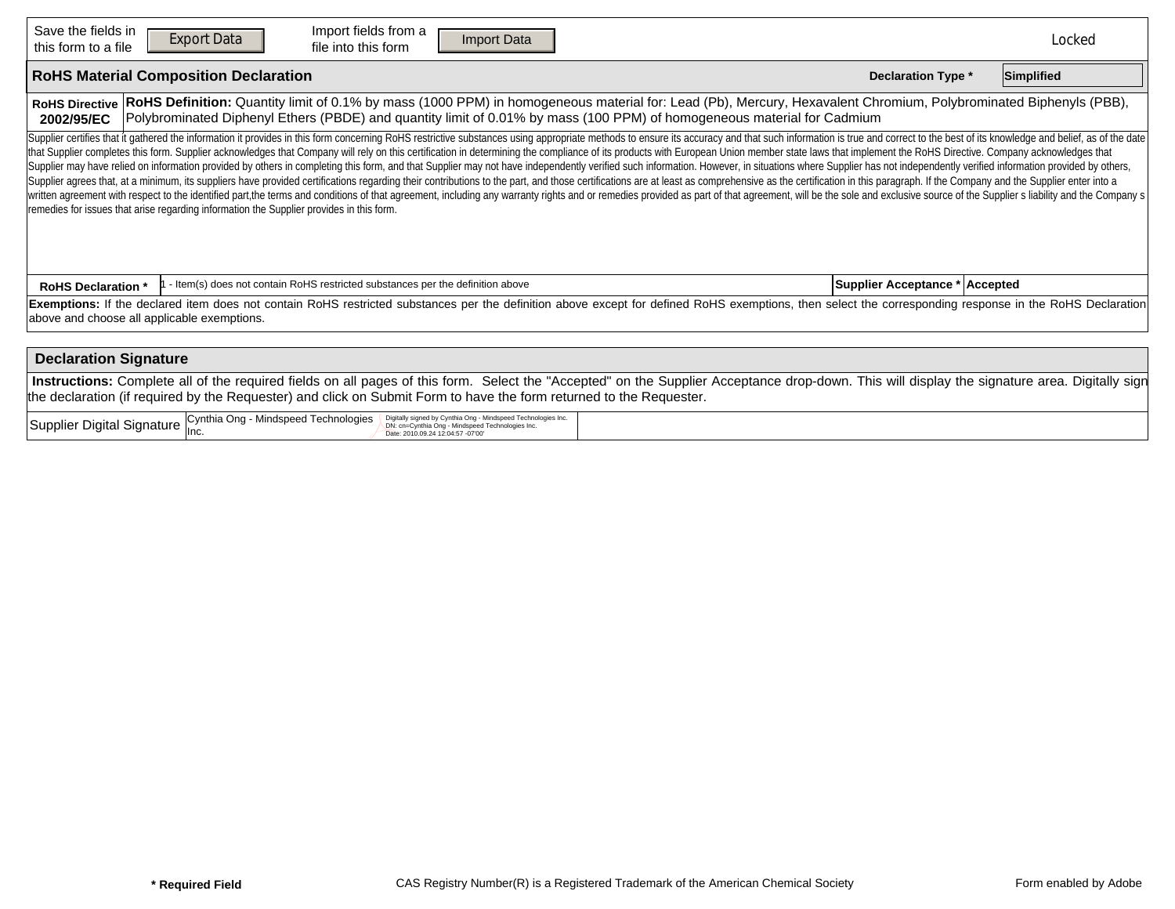| Save the fields in<br>this form to a file                                                                                                                                                                                                                                                                                          | Import fields from a<br><b>Export Data</b><br>Import Data<br><b>Reset Form</b><br>file into this form                                                                                                                                                                                                                                                                                                                                                                                                                                                                                                                                                                                                                                                                                                                                                                                                                                                                                                                                                                                                                                                                                                                                                              |                                | Locked |  |  |  |  |  |  |  |  |  |
|------------------------------------------------------------------------------------------------------------------------------------------------------------------------------------------------------------------------------------------------------------------------------------------------------------------------------------|--------------------------------------------------------------------------------------------------------------------------------------------------------------------------------------------------------------------------------------------------------------------------------------------------------------------------------------------------------------------------------------------------------------------------------------------------------------------------------------------------------------------------------------------------------------------------------------------------------------------------------------------------------------------------------------------------------------------------------------------------------------------------------------------------------------------------------------------------------------------------------------------------------------------------------------------------------------------------------------------------------------------------------------------------------------------------------------------------------------------------------------------------------------------------------------------------------------------------------------------------------------------|--------------------------------|--------|--|--|--|--|--|--|--|--|--|
| <b>RoHS Material Composition Declaration</b><br><b>Declaration Type *</b>                                                                                                                                                                                                                                                          |                                                                                                                                                                                                                                                                                                                                                                                                                                                                                                                                                                                                                                                                                                                                                                                                                                                                                                                                                                                                                                                                                                                                                                                                                                                                    |                                |        |  |  |  |  |  |  |  |  |  |
| RoHS Definition: Quantity limit of 0.1% by mass (1000 PPM) in homogeneous material for: Lead (Pb), Mercury, Hexavalent Chromium, Polybrominated Biphenyls (PBB),<br><b>RoHS Directive</b><br>Polybrominated Diphenyl Ethers (PBDE) and quantity limit of 0.01% by mass (100 PPM) of homogeneous material for Cadmium<br>2002/95/EC |                                                                                                                                                                                                                                                                                                                                                                                                                                                                                                                                                                                                                                                                                                                                                                                                                                                                                                                                                                                                                                                                                                                                                                                                                                                                    |                                |        |  |  |  |  |  |  |  |  |  |
|                                                                                                                                                                                                                                                                                                                                    | Supplier certifies that it gathered the information it provides in this form concerning RoHS restrictive substances using appropriate methods to ensure its accuracy and that such information is true and correct to the best<br>that Supplier completes this form. Supplier acknowledges that Company will rely on this certification in determining the compliance of its products with European Union member state laws that implement the RoHS Directive. C<br>Supplier may have relied on information provided by others in completing this form, and that Supplier may not have independently verified such information. However, in situations where Supplier has not independently verifi<br>Supplier agrees that, at a minimum, its suppliers have provided certifications regarding their contributions to the part, and those certifications are at least as comprehensive as the certification in this paragraph. If th<br>written agreement with respect to the identified part,the terms and conditions of that agreement, including any warranty rights and or remedies provided as part of that agreement, will be the sole and exclusive source of t<br>remedies for issues that arise regarding information the Supplier provides in this form. |                                |        |  |  |  |  |  |  |  |  |  |
| <b>RoHS Declaration *</b>                                                                                                                                                                                                                                                                                                          | - Item(s) does not contain RoHS restricted substances per the definition above                                                                                                                                                                                                                                                                                                                                                                                                                                                                                                                                                                                                                                                                                                                                                                                                                                                                                                                                                                                                                                                                                                                                                                                     | Supplier Acceptance * Accepted |        |  |  |  |  |  |  |  |  |  |
| Exemptions: If the declared item does not contain RoHS restricted substances per the definition above except for defined RoHS exemptions, then select the corresponding response in the RoHS Declaration<br>above and choose all applicable exemptions.                                                                            |                                                                                                                                                                                                                                                                                                                                                                                                                                                                                                                                                                                                                                                                                                                                                                                                                                                                                                                                                                                                                                                                                                                                                                                                                                                                    |                                |        |  |  |  |  |  |  |  |  |  |
| <b>Declaration Signature</b>                                                                                                                                                                                                                                                                                                       |                                                                                                                                                                                                                                                                                                                                                                                                                                                                                                                                                                                                                                                                                                                                                                                                                                                                                                                                                                                                                                                                                                                                                                                                                                                                    |                                |        |  |  |  |  |  |  |  |  |  |
| Instructions: Complete all of the required fields on all pages of this form. Select the "Accepted" on the Supplier Acceptance drop-down. This will display the signature area. Digitally sign<br>the declaration (if required by the Requester) and click on Submit Form to have the form returned to the Requester.               |                                                                                                                                                                                                                                                                                                                                                                                                                                                                                                                                                                                                                                                                                                                                                                                                                                                                                                                                                                                                                                                                                                                                                                                                                                                                    |                                |        |  |  |  |  |  |  |  |  |  |
|                                                                                                                                                                                                                                                                                                                                    | Supplier Digital Signature Cynthia Ong - Mindspeed Technologies<br>Digitally signed by Cynthia Ong - Mindspeed Technologies Inc.<br>DN: cn=Cynthia Ong - Mindspeed Technologies Inc.<br>Date: 2010.09.24 12:04:57 -07'00'                                                                                                                                                                                                                                                                                                                                                                                                                                                                                                                                                                                                                                                                                                                                                                                                                                                                                                                                                                                                                                          |                                |        |  |  |  |  |  |  |  |  |  |